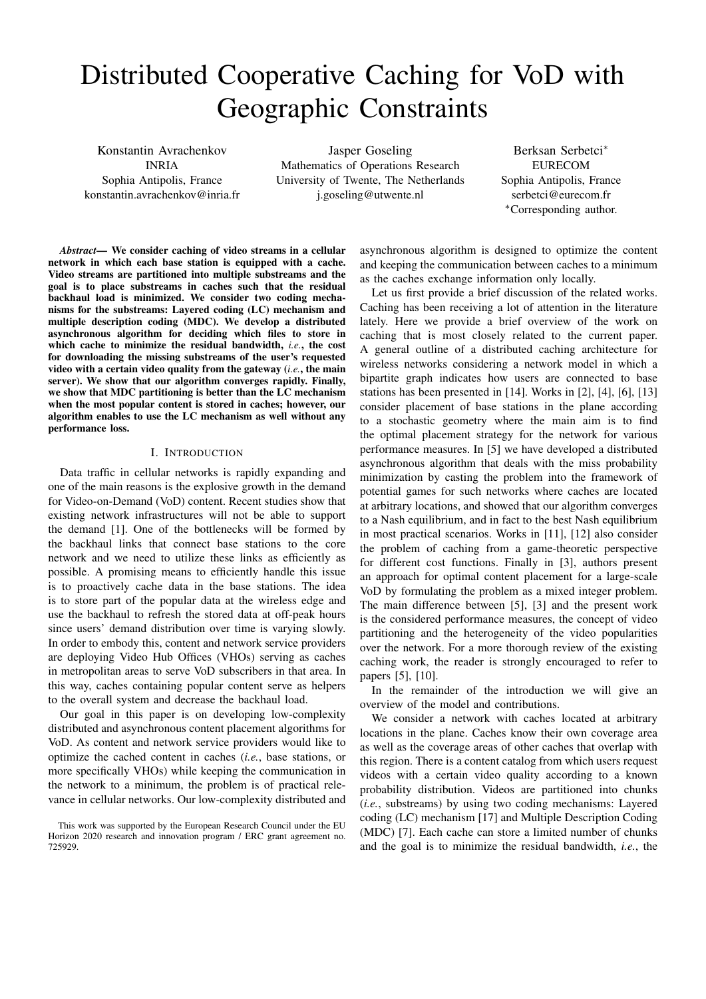# Distributed Cooperative Caching for VoD with Geographic Constraints

Konstantin Avrachenkov INRIA Sophia Antipolis, France konstantin.avrachenkov@inria.fr

Jasper Goseling Mathematics of Operations Research University of Twente, The Netherlands j.goseling@utwente.nl

Berksan Serbetci<sup>∗</sup> EURECOM Sophia Antipolis, France serbetci@eurecom.fr <sup>∗</sup>Corresponding author.

*Abstract*— We consider caching of video streams in a cellular network in which each base station is equipped with a cache. Video streams are partitioned into multiple substreams and the goal is to place substreams in caches such that the residual backhaul load is minimized. We consider two coding mechanisms for the substreams: Layered coding (LC) mechanism and multiple description coding (MDC). We develop a distributed asynchronous algorithm for deciding which files to store in which cache to minimize the residual bandwidth, *i.e.*, the cost for downloading the missing substreams of the user's requested video with a certain video quality from the gateway (*i.e.*, the main server). We show that our algorithm converges rapidly. Finally, we show that MDC partitioning is better than the LC mechanism when the most popular content is stored in caches; however, our algorithm enables to use the LC mechanism as well without any performance loss.

## I. INTRODUCTION

Data traffic in cellular networks is rapidly expanding and one of the main reasons is the explosive growth in the demand for Video-on-Demand (VoD) content. Recent studies show that existing network infrastructures will not be able to support the demand [1]. One of the bottlenecks will be formed by the backhaul links that connect base stations to the core network and we need to utilize these links as efficiently as possible. A promising means to efficiently handle this issue is to proactively cache data in the base stations. The idea is to store part of the popular data at the wireless edge and use the backhaul to refresh the stored data at off-peak hours since users' demand distribution over time is varying slowly. In order to embody this, content and network service providers are deploying Video Hub Offices (VHOs) serving as caches in metropolitan areas to serve VoD subscribers in that area. In this way, caches containing popular content serve as helpers to the overall system and decrease the backhaul load.

Our goal in this paper is on developing low-complexity distributed and asynchronous content placement algorithms for VoD. As content and network service providers would like to optimize the cached content in caches (*i.e.*, base stations, or more specifically VHOs) while keeping the communication in the network to a minimum, the problem is of practical relevance in cellular networks. Our low-complexity distributed and

asynchronous algorithm is designed to optimize the content and keeping the communication between caches to a minimum as the caches exchange information only locally.

Let us first provide a brief discussion of the related works. Caching has been receiving a lot of attention in the literature lately. Here we provide a brief overview of the work on caching that is most closely related to the current paper. A general outline of a distributed caching architecture for wireless networks considering a network model in which a bipartite graph indicates how users are connected to base stations has been presented in [14]. Works in [2], [4], [6], [13] consider placement of base stations in the plane according to a stochastic geometry where the main aim is to find the optimal placement strategy for the network for various performance measures. In [5] we have developed a distributed asynchronous algorithm that deals with the miss probability minimization by casting the problem into the framework of potential games for such networks where caches are located at arbitrary locations, and showed that our algorithm converges to a Nash equilibrium, and in fact to the best Nash equilibrium in most practical scenarios. Works in [11], [12] also consider the problem of caching from a game-theoretic perspective for different cost functions. Finally in [3], authors present an approach for optimal content placement for a large-scale VoD by formulating the problem as a mixed integer problem. The main difference between [5], [3] and the present work is the considered performance measures, the concept of video partitioning and the heterogeneity of the video popularities over the network. For a more thorough review of the existing caching work, the reader is strongly encouraged to refer to papers [5], [10].

In the remainder of the introduction we will give an overview of the model and contributions.

We consider a network with caches located at arbitrary locations in the plane. Caches know their own coverage area as well as the coverage areas of other caches that overlap with this region. There is a content catalog from which users request videos with a certain video quality according to a known probability distribution. Videos are partitioned into chunks (*i.e.*, substreams) by using two coding mechanisms: Layered coding (LC) mechanism [17] and Multiple Description Coding (MDC) [7]. Each cache can store a limited number of chunks and the goal is to minimize the residual bandwidth, *i.e.*, the

This work was supported by the European Research Council under the EU Horizon 2020 research and innovation program / ERC grant agreement no. 725929.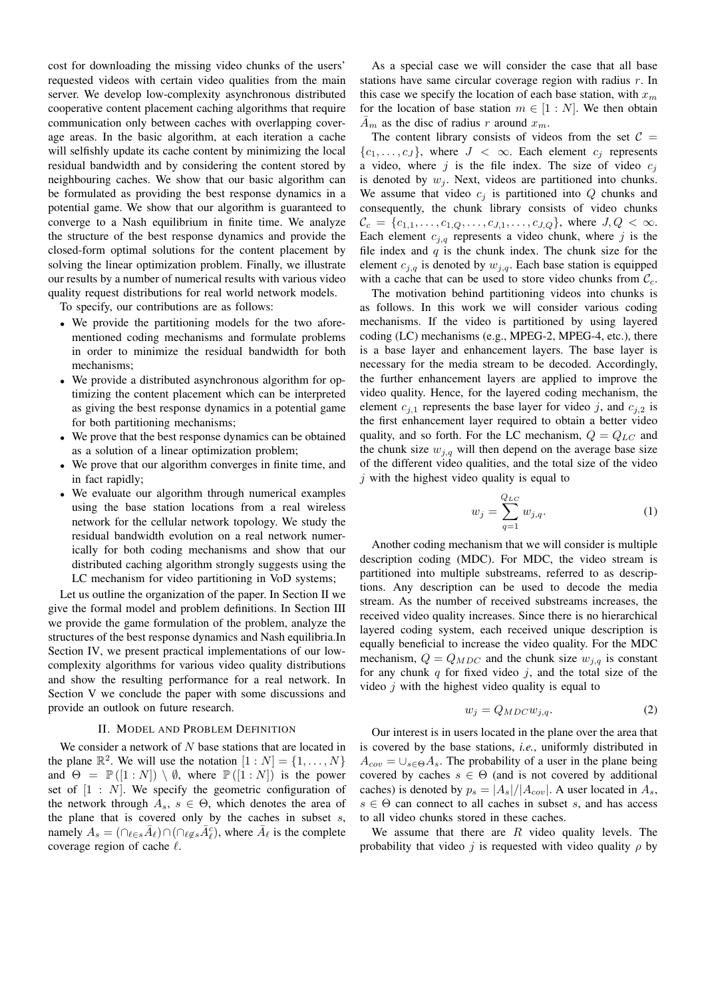cost for downloading the missing video chunks of the users' requested videos with certain video qualities from the main server. We develop low-complexity asynchronous distributed cooperative content placement caching algorithms that require communication only between caches with overlapping coverage areas. In the basic algorithm, at each iteration a cache will selfishly update its cache content by minimizing the local residual bandwidth and by considering the content stored by neighbouring caches. We show that our basic algorithm can be formulated as providing the best response dynamics in a potential game. We show that our algorithm is guaranteed to converge to a Nash equilibrium in finite time. We analyze the structure of the best response dynamics and provide the closed-form optimal solutions for the content placement by solving the linear optimization problem. Finally, we illustrate our results by a number of numerical results with various video quality request distributions for real world network models.

To specify, our contributions are as follows:

- We provide the partitioning models for the two aforementioned coding mechanisms and formulate problems in order to minimize the residual bandwidth for both mechanisms;
- We provide a distributed asynchronous algorithm for optimizing the content placement which can be interpreted as giving the best response dynamics in a potential game for both partitioning mechanisms;
- We prove that the best response dynamics can be obtained as a solution of a linear optimization problem;
- We prove that our algorithm converges in finite time, and in fact rapidly;
- We evaluate our algorithm through numerical examples using the base station locations from a real wireless network for the cellular network topology. We study the residual bandwidth evolution on a real network numerically for both coding mechanisms and show that our distributed caching algorithm strongly suggests using the LC mechanism for video partitioning in VoD systems;

Let us outline the organization of the paper. In Section II we give the formal model and problem definitions. In Section III we provide the game formulation of the problem, analyze the structures of the best response dynamics and Nash equilibria.In Section IV, we present practical implementations of our lowcomplexity algorithms for various video quality distributions and show the resulting performance for a real network. In Section V we conclude the paper with some discussions and provide an outlook on future research.

# II. MODEL AND PROBLEM DEFINITION

We consider a network of  $N$  base stations that are located in the plane  $\mathbb{R}^2$ . We will use the notation  $[1:N] = \{1, \ldots, N\}$ and  $\Theta = \mathbb{P}([1:N]) \setminus \emptyset$ , where  $\mathbb{P}([1:N])$  is the power set of  $[1 : N]$ . We specify the geometric configuration of the network through  $A_s$ ,  $s \in \Theta$ , which denotes the area of the plane that is covered only by the caches in subset  $s$ , namely  $A_s = (\bigcap_{\ell \in s} \bar{A}_\ell) \cap (\bigcap_{\ell \notin s} \bar{A}_\ell^c)$ , where  $\bar{A}_\ell$  is the complete coverage region of cache  $\ell$ .

As a special case we will consider the case that all base stations have same circular coverage region with radius  $r$ . In this case we specify the location of each base station, with  $x_m$ for the location of base station  $m \in [1:N]$ . We then obtain  $\bar{A}_m$  as the disc of radius r around  $x_m$ .

The content library consists of videos from the set  $C =$  ${c_1, \ldots, c_J}$ , where  $J < \infty$ . Each element  $c_j$  represents a video, where  $i$  is the file index. The size of video  $c_i$ is denoted by  $w_i$ . Next, videos are partitioned into chunks. We assume that video  $c_j$  is partitioned into  $Q$  chunks and consequently, the chunk library consists of video chunks  $\mathcal{C}_c = \{c_{1,1}, \ldots, c_{1,Q}, \ldots, c_{J,1}, \ldots, c_{J,Q}\},\$  where  $J, Q < \infty$ . Each element  $c_{j,q}$  represents a video chunk, where j is the file index and  $q$  is the chunk index. The chunk size for the element  $c_{i,q}$  is denoted by  $w_{i,q}$ . Each base station is equipped with a cache that can be used to store video chunks from  $\mathcal{C}_c$ .

The motivation behind partitioning videos into chunks is as follows. In this work we will consider various coding mechanisms. If the video is partitioned by using layered coding (LC) mechanisms (e.g., MPEG-2, MPEG-4, etc.), there is a base layer and enhancement layers. The base layer is necessary for the media stream to be decoded. Accordingly, the further enhancement layers are applied to improve the video quality. Hence, for the layered coding mechanism, the element  $c_{j,1}$  represents the base layer for video j, and  $c_{j,2}$  is the first enhancement layer required to obtain a better video quality, and so forth. For the LC mechanism,  $Q = Q_{LC}$  and the chunk size  $w_{j,q}$  will then depend on the average base size of the different video qualities, and the total size of the video  $j$  with the highest video quality is equal to

$$
w_j = \sum_{q=1}^{Q_{LC}} w_{j,q}.
$$
 (1)

Another coding mechanism that we will consider is multiple description coding (MDC). For MDC, the video stream is partitioned into multiple substreams, referred to as descriptions. Any description can be used to decode the media stream. As the number of received substreams increases, the received video quality increases. Since there is no hierarchical layered coding system, each received unique description is equally beneficial to increase the video quality. For the MDC mechanism,  $Q = Q_{MDC}$  and the chunk size  $w_{i,q}$  is constant for any chunk  $q$  for fixed video  $j$ , and the total size of the video  $j$  with the highest video quality is equal to

$$
w_j = Q_{MDC} w_{j,q}.\tag{2}
$$

Our interest is in users located in the plane over the area that is covered by the base stations, *i.e.*, uniformly distributed in  $A_{cov} = \bigcup_{s \in \Theta} A_s$ . The probability of a user in the plane being covered by caches  $s \in \Theta$  (and is not covered by additional caches) is denoted by  $p_s = |A_s|/|A_{cov}|$ . A user located in  $A_s$ ,  $s \in \Theta$  can connect to all caches in subset s, and has access to all video chunks stored in these caches.

We assume that there are  $R$  video quality levels. The probability that video j is requested with video quality  $\rho$  by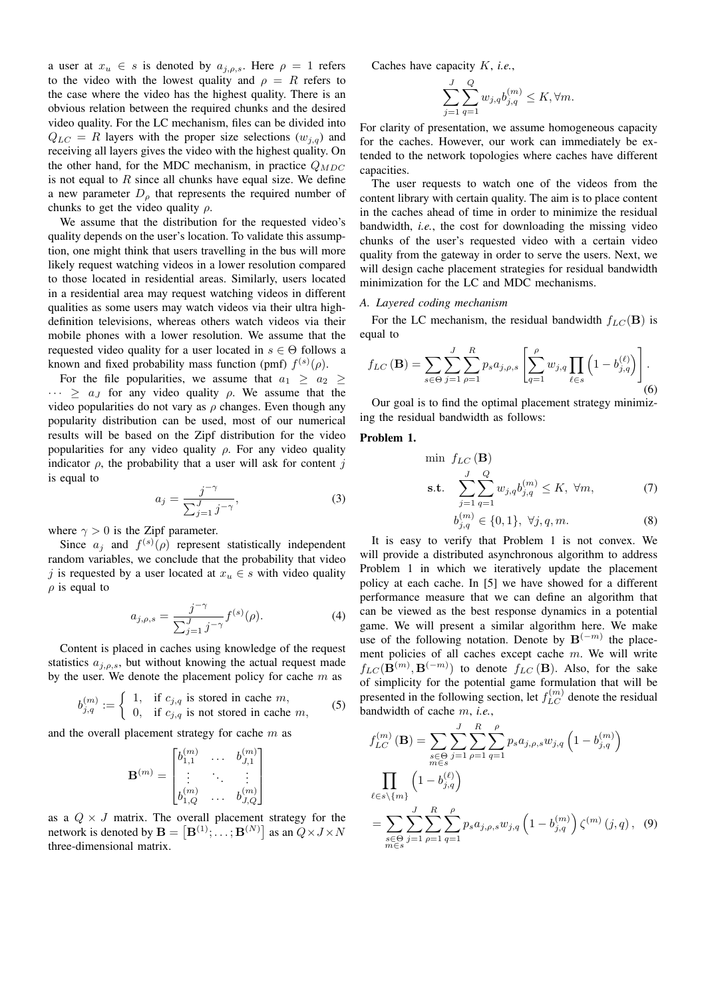a user at  $x_u \in s$  is denoted by  $a_{j,\rho,s}$ . Here  $\rho = 1$  refers to the video with the lowest quality and  $\rho = R$  refers to the case where the video has the highest quality. There is an obvious relation between the required chunks and the desired video quality. For the LC mechanism, files can be divided into  $Q_{LC} = R$  layers with the proper size selections  $(w_{i,q})$  and receiving all layers gives the video with the highest quality. On the other hand, for the MDC mechanism, in practice  $Q_{MDC}$ is not equal to  $R$  since all chunks have equal size. We define a new parameter  $D_{\rho}$  that represents the required number of chunks to get the video quality  $\rho$ .

We assume that the distribution for the requested video's quality depends on the user's location. To validate this assumption, one might think that users travelling in the bus will more likely request watching videos in a lower resolution compared to those located in residential areas. Similarly, users located in a residential area may request watching videos in different qualities as some users may watch videos via their ultra highdefinition televisions, whereas others watch videos via their mobile phones with a lower resolution. We assume that the requested video quality for a user located in  $s \in \Theta$  follows a known and fixed probability mass function (pmf)  $f^{(s)}(\rho)$ .

For the file popularities, we assume that  $a_1 \ge a_2 \ge$  $\cdots \ge a_J$  for any video quality  $\rho$ . We assume that the video popularities do not vary as  $\rho$  changes. Even though any popularity distribution can be used, most of our numerical results will be based on the Zipf distribution for the video popularities for any video quality  $\rho$ . For any video quality indicator  $\rho$ , the probability that a user will ask for content j is equal to

$$
a_j = \frac{j^{-\gamma}}{\sum_{j=1}^J j^{-\gamma}},\tag{3}
$$

where  $\gamma > 0$  is the Zipf parameter.

Since  $a_j$  and  $f^{(s)}(\rho)$  represent statistically independent random variables, we conclude that the probability that video j is requested by a user located at  $x_u \in s$  with video quality  $\rho$  is equal to

$$
a_{j,\rho,s} = \frac{j^{-\gamma}}{\sum_{j=1}^{J} j^{-\gamma}} f^{(s)}(\rho).
$$
 (4)

Content is placed in caches using knowledge of the request statistics  $a_{j,\rho,s}$ , but without knowing the actual request made by the user. We denote the placement policy for cache  $m$  as

$$
b_{j,q}^{(m)} := \begin{cases} 1, & \text{if } c_{j,q} \text{ is stored in cache } m, \\ 0, & \text{if } c_{j,q} \text{ is not stored in cache } m, \end{cases}
$$
 (5)

and the overall placement strategy for cache  $m$  as

$$
\mathbf{B}^{(m)} = \begin{bmatrix} b_{1,1}^{(m)} & \ldots & b_{J,1}^{(m)} \\ \vdots & \ddots & \vdots \\ b_{1,Q}^{(m)} & \ldots & b_{J,Q}^{(m)} \end{bmatrix}
$$

as a  $Q \times J$  matrix. The overall placement strategy for the network is denoted by  $\mathbf{B} = \left[\mathbf{B}^{(1)}; \ldots; \mathbf{B}^{(N)}\right]$  as an  $Q \times J \times N$ three-dimensional matrix.

Caches have capacity K, *i.e.*,

$$
\sum_{j=1}^J\sum_{q=1}^Q w_{j,q}b_{j,q}^{(m)}\leq K, \forall m.
$$

For clarity of presentation, we assume homogeneous capacity for the caches. However, our work can immediately be extended to the network topologies where caches have different capacities.

The user requests to watch one of the videos from the content library with certain quality. The aim is to place content in the caches ahead of time in order to minimize the residual bandwidth, *i.e.*, the cost for downloading the missing video chunks of the user's requested video with a certain video quality from the gateway in order to serve the users. Next, we will design cache placement strategies for residual bandwidth minimization for the LC and MDC mechanisms.

# *A. Layered coding mechanism*

For the LC mechanism, the residual bandwidth  $f_{LC}(\mathbf{B})$  is equal to

$$
f_{LC}(\mathbf{B}) = \sum_{s \in \Theta} \sum_{j=1}^{J} \sum_{\rho=1}^{R} p_s a_{j,\rho,s} \left[ \sum_{q=1}^{\rho} w_{j,q} \prod_{\ell \in s} \left( 1 - b_{j,q}^{(\ell)} \right) \right].
$$
\n(6)

Our goal is to find the optimal placement strategy minimizing the residual bandwidth as follows:

# Problem 1.

$$
\min f_{LC} \left( \mathbf{B} \right)
$$
\n
$$
\text{s.t.} \quad \sum_{j=1}^{J} \sum_{q=1}^{Q} w_{j,q} b_{j,q}^{(m)} \le K, \ \forall m,
$$
\n
$$
\sum_{j=1}^{J} \sum_{q=1}^{Q} w_{j,q} b_{j,q}^{(m)} \le K, \ \forall m,
$$
\n
$$
\tag{7}
$$

$$
b_{j,q}^{(m)} \in \{0,1\}, \ \forall j, q, m. \tag{8}
$$

It is easy to verify that Problem 1 is not convex. We will provide a distributed asynchronous algorithm to address Problem 1 in which we iteratively update the placement policy at each cache. In [5] we have showed for a different performance measure that we can define an algorithm that can be viewed as the best response dynamics in a potential game. We will present a similar algorithm here. We make use of the following notation. Denote by  $\mathbf{B}^{(-m)}$  the placement policies of all caches except cache  $m$ . We will write  $f_{LC}(\mathbf{B}^{(m)},\mathbf{B}^{(-m)})$  to denote  $f_{LC}(\mathbf{B})$ . Also, for the sake of simplicity for the potential game formulation that will be presented in the following section, let  $f_{LC}^{(m)}$  denote the residual bandwidth of cache m, *i.e.*,

$$
f_{LC}^{(m)}(\mathbf{B}) = \sum_{\substack{s \in \Theta \\ m \in s}} \sum_{j=1}^{J} \sum_{\rho=1}^{R} \sum_{q=1}^{\rho} p_s a_{j,\rho,s} w_{j,q} \left( 1 - b_{j,q}^{(m)} \right)
$$

$$
\prod_{\substack{\ell \in s \backslash \{m\}}} \left( 1 - b_{j,q}^{(\ell)} \right)
$$

$$
= \sum_{\substack{s \in \Theta \\ m \in s}} \sum_{j=1}^{J} \sum_{\rho=1}^{R} \sum_{q=1}^{\rho} p_s a_{j,\rho,s} w_{j,q} \left( 1 - b_{j,q}^{(m)} \right) \zeta^{(m)}(j,q), \quad (9)
$$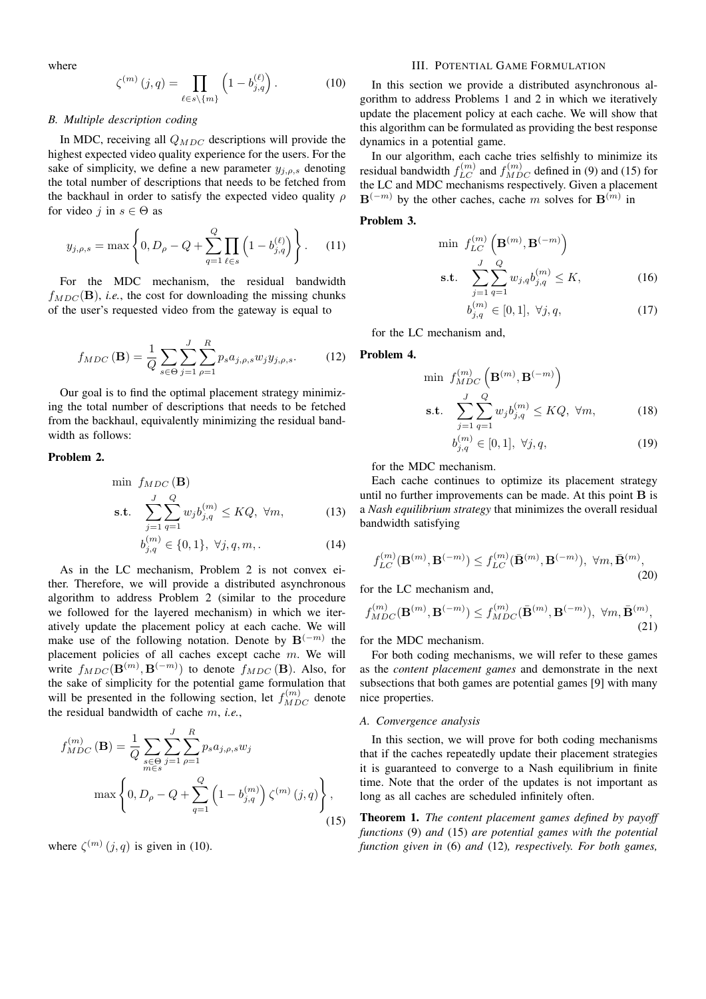where

$$
\zeta^{(m)}(j,q) = \prod_{\ell \in s \backslash \{m\}} \left(1 - b_{j,q}^{(\ell)}\right). \tag{10}
$$

# *B. Multiple description coding*

In MDC, receiving all  $Q_{MDC}$  descriptions will provide the highest expected video quality experience for the users. For the sake of simplicity, we define a new parameter  $y_{j,\rho,s}$  denoting the total number of descriptions that needs to be fetched from the backhaul in order to satisfy the expected video quality  $\rho$ for video j in  $s \in \Theta$  as

$$
y_{j,\rho,s} = \max\left\{0, D_{\rho} - Q + \sum_{q=1}^{Q} \prod_{\ell \in s} \left(1 - b_{j,q}^{(\ell)}\right)\right\}.
$$
 (11)

For the MDC mechanism, the residual bandwidth  $f_{MDC}(\mathbf{B})$ , *i.e.*, the cost for downloading the missing chunks of the user's requested video from the gateway is equal to

$$
f_{MDC}(\mathbf{B}) = \frac{1}{Q} \sum_{s \in \Theta} \sum_{j=1}^{J} \sum_{\rho=1}^{R} p_s a_{j,\rho,s} w_j y_{j,\rho,s}.
$$
 (12)

Our goal is to find the optimal placement strategy minimizing the total number of descriptions that needs to be fetched from the backhaul, equivalently minimizing the residual bandwidth as follows:

# Problem 2.

$$
\begin{aligned}\n\min \ f_{MDC} \left( \mathbf{B} \right) \\
\text{s.t.} \quad \sum_{j=1}^{J} \sum_{q=1}^{Q} w_j b_{j,q}^{(m)} \le KQ, \ \forall m,\n\end{aligned} \tag{13}
$$

$$
b_{j,q}^{(m)} \in \{0,1\}, \ \forall j, q, m, . \tag{14}
$$

As in the LC mechanism, Problem 2 is not convex either. Therefore, we will provide a distributed asynchronous algorithm to address Problem 2 (similar to the procedure we followed for the layered mechanism) in which we iteratively update the placement policy at each cache. We will make use of the following notation. Denote by  $B^{(-m)}$  the placement policies of all caches except cache  $m$ . We will write  $f_{MDC}(\mathbf{B}^{(m)},\mathbf{B}^{(-m)})$  to denote  $f_{MDC}(\mathbf{B})$ . Also, for the sake of simplicity for the potential game formulation that will be presented in the following section, let  $f_{MDC}^{(m)}$  denote the residual bandwidth of cache m, *i.e.*,

$$
f_{MDC}^{(m)}(\mathbf{B}) = \frac{1}{Q} \sum_{\substack{s \in \Theta \\ m \in s}} \sum_{j=1}^{J} \sum_{\rho=1}^{R} p_s a_{j,\rho,s} w_j
$$

$$
\max \left\{ 0, D_\rho - Q + \sum_{q=1}^{Q} \left( 1 - b_{j,q}^{(m)} \right) \zeta^{(m)}(j,q) \right\},\tag{15}
$$

where  $\zeta^{(m)}(j,q)$  is given in (10).

## III. POTENTIAL GAME FORMULATION

In this section we provide a distributed asynchronous algorithm to address Problems 1 and 2 in which we iteratively update the placement policy at each cache. We will show that this algorithm can be formulated as providing the best response dynamics in a potential game.

In our algorithm, each cache tries selfishly to minimize its residual bandwidth  $f_{LC}^{(m)}$  and  $f_{MDC}^{(m)}$  defined in (9) and (15) for the LC and MDC mechanisms respectively. Given a placement  $\mathbf{B}^{(-m)}$  by the other caches, cache m solves for  $\mathbf{B}^{(m)}$  in

# Problem 3.

$$
\min f_{LC}^{(m)}\left(\mathbf{B}^{(m)}, \mathbf{B}^{(-m)}\right)
$$
\n
$$
\text{s.t.} \quad \sum_{j=1}^{J} \sum_{q=1}^{Q} w_{j,q} b_{j,q}^{(m)} \le K,\tag{16}
$$

$$
b_{j,q}^{(m)} \in [0,1], \ \forall j,q,
$$
\n(17)

for the LC mechanism and,

Problem 4.

$$
\min f_{MDC}^{(m)} \left( \mathbf{B}^{(m)}, \mathbf{B}^{(-m)} \right)
$$
\n
$$
\text{s.t.} \quad \sum_{j=1}^{J} \sum_{q=1}^{Q} w_j b_{j,q}^{(m)} \leq KQ, \ \forall m,
$$
\n
$$
(18)
$$

$$
b_{j,q}^{(m)} \in [0,1], \ \forall j, q,
$$
\n(19)

for the MDC mechanism.

Each cache continues to optimize its placement strategy until no further improvements can be made. At this point  $\bf{B}$  is a *Nash equilibrium strategy* that minimizes the overall residual bandwidth satisfying

$$
f_{LC}^{(m)}(\mathbf{B}^{(m)}, \mathbf{B}^{(-m)}) \le f_{LC}^{(m)}(\bar{\mathbf{B}}^{(m)}, \mathbf{B}^{(-m)}), \ \forall m, \bar{\mathbf{B}}^{(m)},
$$
\n(20)

for the LC mechanism and,

$$
f_{MDC}^{(m)}(\mathbf{B}^{(m)}, \mathbf{B}^{(-m)}) \le f_{MDC}^{(m)}(\bar{\mathbf{B}}^{(m)}, \mathbf{B}^{(-m)}), \ \forall m, \bar{\mathbf{B}}^{(m)},
$$
\n(21)

for the MDC mechanism.

For both coding mechanisms, we will refer to these games as the *content placement games* and demonstrate in the next subsections that both games are potential games [9] with many nice properties.

#### *A. Convergence analysis*

In this section, we will prove for both coding mechanisms that if the caches repeatedly update their placement strategies it is guaranteed to converge to a Nash equilibrium in finite time. Note that the order of the updates is not important as long as all caches are scheduled infinitely often.

Theorem 1. *The content placement games defined by payoff functions* (9) *and* (15) *are potential games with the potential function given in* (6) *and* (12)*, respectively. For both games,*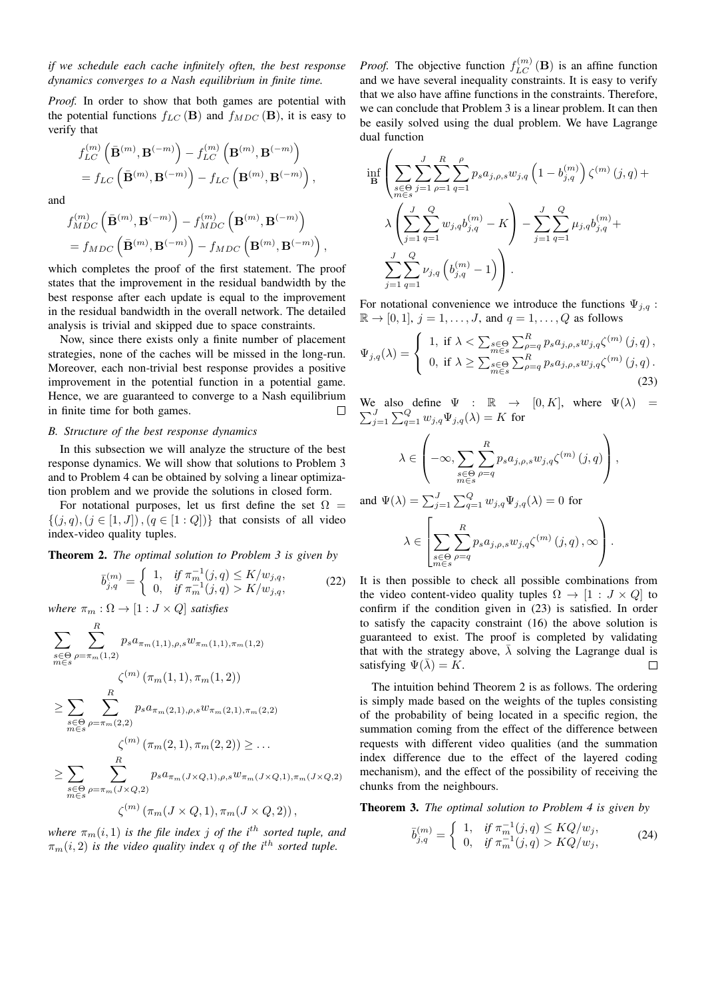*if we schedule each cache infinitely often, the best response dynamics converges to a Nash equilibrium in finite time.*

*Proof.* In order to show that both games are potential with the potential functions  $f_{LC}(\mathbf{B})$  and  $f_{MDC}(\mathbf{B})$ , it is easy to verify that

$$
f_{LC}^{(m)}\left(\bar{\mathbf{B}}^{(m)},\mathbf{B}^{(-m)}\right) - f_{LC}^{(m)}\left(\mathbf{B}^{(m)},\mathbf{B}^{(-m)}\right)
$$
  
=  $f_{LC}\left(\bar{\mathbf{B}}^{(m)},\mathbf{B}^{(-m)}\right) - f_{LC}\left(\mathbf{B}^{(m)},\mathbf{B}^{(-m)}\right),$ 

and

$$
\begin{split} &\!f_{MDC}^{(m)}\left(\bar{\mathbf{B}}^{(m)},\mathbf{B}^{(-m)}\right)-f_{MDC}^{(m)}\left(\mathbf{B}^{(m)},\mathbf{B}^{(-m)}\right) \\ &=f_{MDC}\left(\bar{\mathbf{B}}^{(m)},\mathbf{B}^{(-m)}\right)-f_{MDC}\left(\mathbf{B}^{(m)},\mathbf{B}^{(-m)}\right), \end{split}
$$

which completes the proof of the first statement. The proof states that the improvement in the residual bandwidth by the best response after each update is equal to the improvement in the residual bandwidth in the overall network. The detailed analysis is trivial and skipped due to space constraints.

Now, since there exists only a finite number of placement strategies, none of the caches will be missed in the long-run. Moreover, each non-trivial best response provides a positive improvement in the potential function in a potential game. Hence, we are guaranteed to converge to a Nash equilibrium in finite time for both games.  $\Box$ 

## *B. Structure of the best response dynamics*

In this subsection we will analyze the structure of the best response dynamics. We will show that solutions to Problem 3 and to Problem 4 can be obtained by solving a linear optimization problem and we provide the solutions in closed form.

For notational purposes, let us first define the set  $\Omega$  $\{(j, q), (j \in [1, J]), (q \in [1: Q])\}$  that consists of all video index-video quality tuples.

Theorem 2. *The optimal solution to Problem 3 is given by*

$$
\bar{b}_{j,q}^{(m)} = \begin{cases} 1, & \text{if } \pi_m^{-1}(j,q) \le K/w_{j,q}, \\ 0, & \text{if } \pi_m^{-1}(j,q) > K/w_{j,q}, \end{cases}
$$
(22)

*where*  $\pi_m : \Omega \to [1 : J \times Q]$  *satisfies* 

$$
\sum_{\substack{s \in \Theta \\ m \in s}} \sum_{\rho=\pi_m(1,2)}^{R} p_s a_{\pi_m(1,1),\rho,s} w_{\pi_m(1,1),\pi_m(1,2)} \n\leq \sum_{\substack{s \in \Theta \\ m \in s}} \sum_{\rho=\pi_m(2,2)}^{R} p_s a_{\pi_m(2,1),\rho,s} w_{\pi_m(2,1),\pi_m(2,2)} \n\leq \sum_{\substack{s \in \Theta \\ m \in s}} \sum_{\rho=\pi_m(2,2)}^{R} p_s a_{\pi_m(2,1),\rho,s} w_{\pi_m(2,1),\pi_m(2,2)} \n\leq \sum_{\substack{s \in \Theta \\ m \in s}} \sum_{\rho=\pi_m(J \times Q,2)}^{R} p_s a_{\pi_m(J \times Q,1),\rho,s} w_{\pi_m(J \times Q,1),\pi_m(J \times Q,2)} \n\zeta^{(m)} (\pi_m(J \times Q,1), \pi_m(J \times Q,2)),
$$

*where*  $\pi_m(i, 1)$  *is the file index j of the i<sup>th</sup> sorted tuple, and*  $\pi_m(i, 2)$  *is the video quality index q of the i<sup>th</sup> sorted tuple.* 

*Proof.* The objective function  $f_{LC}^{(m)}(\mathbf{B})$  is an affine function and we have several inequality constraints. It is easy to verify that we also have affine functions in the constraints. Therefore, we can conclude that Problem 3 is a linear problem. It can then be easily solved using the dual problem. We have Lagrange dual function

 $\overline{1}$ 

$$
\inf_{\mathbf{B}} \left( \sum_{\substack{s \in \Theta \\ m \in s}} \sum_{j=1}^{J} \sum_{\rho=1}^{R} \sum_{q=1}^{\rho} p_s a_{j,\rho,s} w_{j,q} \left( 1 - b_{j,q}^{(m)} \right) \zeta^{(m)} (j,q) + \lambda \left( \sum_{j=1}^{J} \sum_{q=1}^{Q} w_{j,q} b_{j,q}^{(m)} - K \right) - \sum_{j=1}^{J} \sum_{q=1}^{Q} \mu_{j,q} b_{j,q}^{(m)} + \sum_{j=1}^{J} \sum_{q=1}^{Q} \nu_{j,q} \left( b_{j,q}^{(m)} - 1 \right) \right).
$$

For notational convenience we introduce the functions  $\Psi_{i,q}$ :  $\mathbb{R} \rightarrow [0, 1], j = 1, \ldots, J$ , and  $q = 1, \ldots, Q$  as follows

$$
\Psi_{j,q}(\lambda) = \begin{cases} 1, & \text{if } \lambda < \sum_{\substack{s \in \Theta \\ m \in s}} \sum_{\substack{\rho = q \\ \rho = q}}^R p_s a_{j,\rho,s} w_{j,q} \zeta^{(m)}(j,q), \\ 0, & \text{if } \lambda \ge \sum_{\substack{s \in \Theta \\ m \in s}} \sum_{\rho = q}^R p_s a_{j,\rho,s} w_{j,q} \zeta^{(m)}(j,q). \end{cases} \tag{23}
$$

 $\sum$ We also define  $\Psi$  :  $\mathbb{R} \to [0, K]$ , where  $\Psi(\lambda) = \sum_{j=1}^{J} \sum_{q=1}^{Q} w_{j,q} \Psi_{j,q}(\lambda) = K$  for

$$
\lambda \in \left( -\infty, \sum_{\substack{s \in \Theta \\ m \in s}} \sum_{\rho=q}^{R} p_s a_{j,\rho,s} w_{j,q} \zeta^{(m)}(j,q) \right),
$$

and 
$$
\Psi(\lambda) = \sum_{j=1}^{J} \sum_{q=1}^{Q} w_{j,q} \Psi_{j,q}(\lambda) = 0
$$
 for  

$$
\lambda \in \left[ \sum_{\substack{s \in \Theta \\ m \in s}} \sum_{\rho=q}^{R} p_s a_{j,\rho,s} w_{j,q} \zeta^{(m)}(j,q) , \infty \right].
$$

It is then possible to check all possible combinations from the video content-video quality tuples  $\Omega \to [1 : J \times Q]$  to confirm if the condition given in (23) is satisfied. In order to satisfy the capacity constraint (16) the above solution is guaranteed to exist. The proof is completed by validating that with the strategy above,  $\lambda$  solving the Lagrange dual is satisfying  $\Psi(\lambda) = K$ .  $\Box$ 

The intuition behind Theorem 2 is as follows. The ordering is simply made based on the weights of the tuples consisting of the probability of being located in a specific region, the summation coming from the effect of the difference between requests with different video qualities (and the summation index difference due to the effect of the layered coding mechanism), and the effect of the possibility of receiving the chunks from the neighbours.

Theorem 3. *The optimal solution to Problem 4 is given by*

$$
\bar{b}_{j,q}^{(m)} = \begin{cases} 1, & \text{if } \pi_m^{-1}(j,q) \le KQ/w_j, \\ 0, & \text{if } \pi_m^{-1}(j,q) > KQ/w_j, \end{cases}
$$
\n(24)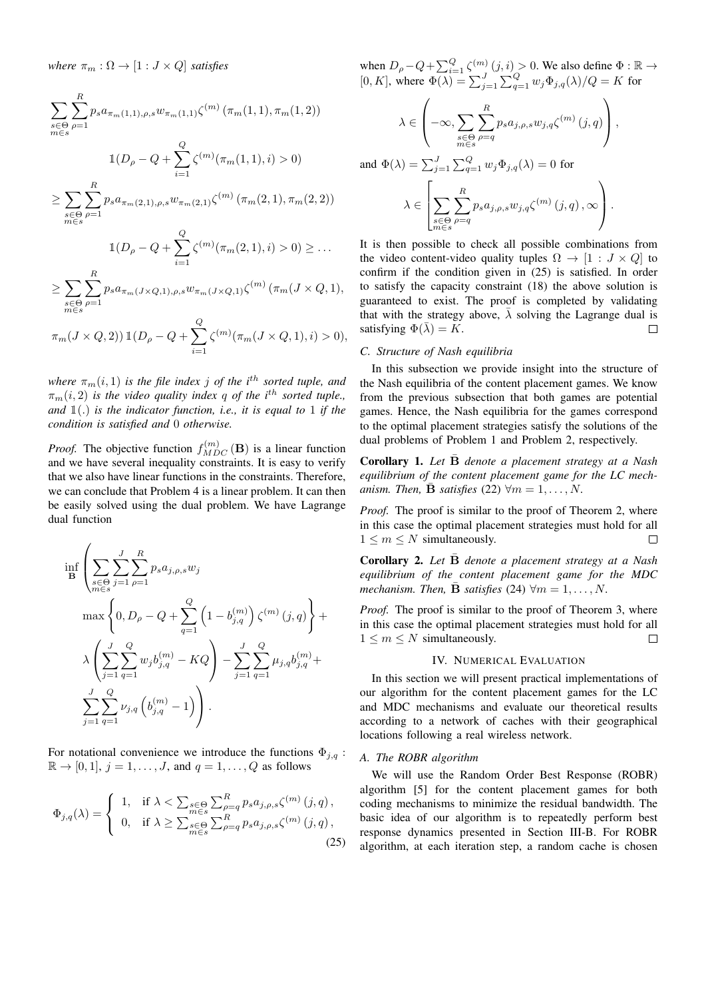*where*  $\pi_m : \Omega \to [1 : J \times Q]$  *satisfies* 

$$
\sum_{\substack{s \in \Theta \\ m \in s}} \sum_{\rho=1}^{R} p_s a_{\pi_m(1,1),\rho,s} w_{\pi_m(1,1)} \zeta^{(m)}(\pi_m(1,1), \pi_m(1,2))
$$
  

$$
\mathbb{1}(D_{\rho} - Q + \sum_{i=1}^{Q} \zeta^{(m)}(\pi_m(1,1), i) > 0)
$$
  

$$
\geq \sum_{\substack{s \in \Theta \\ m \in s}} \sum_{\rho=1}^{R} p_s a_{\pi_m(2,1),\rho,s} w_{\pi_m(2,1)} \zeta^{(m)}(\pi_m(2,1), \pi_m(2,2))
$$
  

$$
\mathbb{1}(D_{\rho} - Q + \sum_{i=1}^{Q} \zeta^{(m)}(\pi_m(2,1), i) > 0) \geq \dots
$$
  

$$
\geq \sum_{\substack{s \in \Theta \\ m \in s}} \sum_{\rho=1}^{R} p_s a_{\pi_m(J \times Q,1),\rho,s} w_{\pi_m(J \times Q,1)} \zeta^{(m)}(\pi_m(J \times Q,1),
$$

$$
\pi_m(J \times Q, 2)) 1\!\!1(D_\rho - Q + \sum_{i=1}^Q \zeta^{(m)}(\pi_m(J \times Q, 1), i) > 0),
$$

*where*  $\pi_m(i, 1)$  *is the file index j of the i<sup>th</sup> sorted tuple, and*  $\pi_m(i, 2)$  *is the video quality index q of the i*<sup>th</sup> *sorted tuple.*, *and* 1(.) *is the indicator function, i.e., it is equal to* 1 *if the condition is satisfied and* 0 *otherwise.*

*Proof.* The objective function  $f_{MDC}^{(m)}$  (**B**) is a linear function and we have several inequality constraints. It is easy to verify that we also have linear functions in the constraints. Therefore, we can conclude that Problem 4 is a linear problem. It can then be easily solved using the dual problem. We have Lagrange dual function

$$
\inf_{\mathbf{B}} \left( \sum_{\substack{s \in \Theta \\ m \in s}} \sum_{j=1}^{J} \sum_{\rho=1}^{R} p_s a_{j,\rho,s} w_j \right) \n\max \left\{ 0, D_\rho - Q + \sum_{q=1}^{Q} \left( 1 - b_{j,q}^{(m)} \right) \zeta^{(m)} (j,q) \right\} + \n\lambda \left( \sum_{j=1}^{J} \sum_{q=1}^{Q} w_j b_{j,q}^{(m)} - KQ \right) - \sum_{j=1}^{J} \sum_{q=1}^{Q} \mu_{j,q} b_{j,q}^{(m)} + \n\sum_{j=1}^{J} \sum_{q=1}^{Q} \nu_{j,q} \left( b_{j,q}^{(m)} - 1 \right) \right).
$$

For notational convenience we introduce the functions  $\Phi_{i,q}$ :  $\mathbb{R} \to [0, 1], j = 1, \ldots, J$ , and  $q = 1, \ldots, Q$  as follows

$$
\Phi_{j,q}(\lambda) = \begin{cases} 1, & \text{if } \lambda < \sum_{\substack{s \in \Theta \\ m \in s}} \sum_{\substack{\rho = q \\ \rho = q}}^R p_s a_{j,\rho,s} \zeta^{(m)}(j,q) \,, \\ 0, & \text{if } \lambda \ge \sum_{\substack{s \in \Theta \\ m \in s}} \sum_{\rho = q}^R p_s a_{j,\rho,s} \zeta^{(m)}(j,q) \,, \end{cases} \tag{25}
$$

when  $D_{\rho} - Q + \sum_{i=1}^{Q} \zeta^{(m)}(j, i) > 0$ . We also define  $\Phi : \mathbb{R} \to$ [0, K], where  $\Phi(\lambda) = \sum_{j=1}^{J} \sum_{q=1}^{Q} w_j \Phi_{j,q}(\lambda) / Q = K$  for

$$
\lambda \in \left( -\infty, \sum_{\substack{s \in \Theta \\ m \in s}} \sum_{\rho=q}^R p_s a_{j,\rho,s} w_{j,q} \zeta^{(m)}(j,q) \right),
$$

and 
$$
\Phi(\lambda) = \sum_{j=1}^{J} \sum_{q=1}^{Q} w_j \Phi_{j,q}(\lambda) = 0
$$
 for  

$$
\lambda \in \left[ \sum_{\substack{s \in \Theta \\ m \in s}} \sum_{\rho=q}^{R} p_s a_{j,\rho,s} w_{j,q} \zeta^{(m)}(j,q) , \infty \right].
$$

It is then possible to check all possible combinations from the video content-video quality tuples  $\Omega \to [1 : J \times Q]$  to confirm if the condition given in (25) is satisfied. In order to satisfy the capacity constraint (18) the above solution is guaranteed to exist. The proof is completed by validating that with the strategy above,  $\overline{\lambda}$  solving the Lagrange dual is satisfying  $\Phi(\bar{\lambda}) = K$ .  $\Box$ 

# *C. Structure of Nash equilibria*

In this subsection we provide insight into the structure of the Nash equilibria of the content placement games. We know from the previous subsection that both games are potential games. Hence, the Nash equilibria for the games correspond to the optimal placement strategies satisfy the solutions of the dual problems of Problem 1 and Problem 2, respectively.

Corollary 1. *Let* B¯ *denote a placement strategy at a Nash equilibrium of the content placement game for the LC mechanism. Then,*  $\bar{\mathbf{B}}$  *satisfies* (22)  $\forall m = 1, \ldots, N$ .

*Proof.* The proof is similar to the proof of Theorem 2, where in this case the optimal placement strategies must hold for all  $1 \leq m \leq N$  simultaneously.  $\Box$ 

Corollary 2. *Let* B¯ *denote a placement strategy at a Nash equilibrium of the content placement game for the MDC mechanism. Then,*  $\bar{\mathbf{B}}$  *satisfies* (24)  $\forall m = 1, \dots, N$ .

*Proof.* The proof is similar to the proof of Theorem 3, where in this case the optimal placement strategies must hold for all  $1 \leq m \leq N$  simultaneously.  $\Box$ 

## IV. NUMERICAL EVALUATION

In this section we will present practical implementations of our algorithm for the content placement games for the LC and MDC mechanisms and evaluate our theoretical results according to a network of caches with their geographical locations following a real wireless network.

## *A. The ROBR algorithm*

We will use the Random Order Best Response (ROBR) algorithm [5] for the content placement games for both coding mechanisms to minimize the residual bandwidth. The basic idea of our algorithm is to repeatedly perform best response dynamics presented in Section III-B. For ROBR algorithm, at each iteration step, a random cache is chosen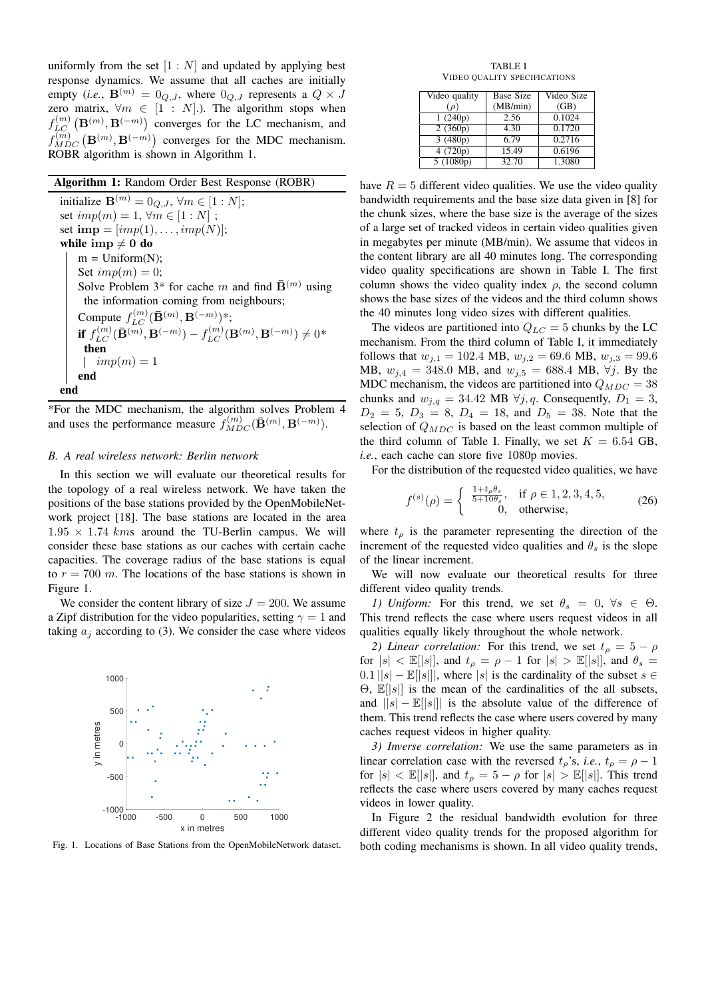uniformly from the set  $[1:N]$  and updated by applying best response dynamics. We assume that all caches are initially empty (*i.e.*,  $\mathbf{B}^{(m)} = 0_{Q,J}$ , where  $0_{Q,J}$  represents a  $Q \times J$ zero matrix,  $\forall m \in [1 : N]$ .). The algorithm stops when  $f_{LC}^{(m)}(\mathbf{B}^{(m)},\mathbf{B}^{(-m)})$  converges for the LC mechanism, and  $f_{MDC}^{(m)}(\mathbf{B}^{(m)},\mathbf{B}^{(-m)})$  converges for the MDC mechanism. ROBR algorithm is shown in Algorithm 1.

# Algorithm 1: Random Order Best Response (ROBR)

initialize  $\mathbf{B}^{(m)} = 0_{Q,J}$ ,  $\forall m \in [1:N];$ set  $imp(m) = 1, \forall m \in [1:N]$ ; set  $\text{imp} = [imp(1), \ldots, imp(N)];$ while imp  $\neq 0$  do  $m = Uniform(N);$ Set  $imp(m) = 0$ ; Solve Problem 3\* for cache m and find  $\bar{\mathbf{B}}^{(m)}$  using the information coming from neighbours; Compute  $f_{LC}^{(m)}(\bar{\mathbf{B}}^{(m)}, \mathbf{B}^{(-m)})$ \*; **if**  $f_{LC}^{(m)}(\bar{\mathbf{B}}^{(m)}, \mathbf{B}^{(-m)}) - f_{LC}^{(m)}(\mathbf{B}^{(m)}, \mathbf{B}^{(-m)}) \neq 0^*$ then  $\mathbb{L}$  $imp(m)=1$ end end

\*For the MDC mechanism, the algorithm solves Problem 4 and uses the performance measure  $f_{MDC}^{(m)}(\bar{\mathbf{B}}^{(m)}, \mathbf{B}^{(-m)}).$ 

## *B. A real wireless network: Berlin network*

In this section we will evaluate our theoretical results for the topology of a real wireless network. We have taken the positions of the base stations provided by the OpenMobileNetwork project [18]. The base stations are located in the area  $1.95 \times 1.74$  kms around the TU-Berlin campus. We will consider these base stations as our caches with certain cache capacities. The coverage radius of the base stations is equal to  $r = 700$  m. The locations of the base stations is shown in Figure 1.

We consider the content library of size  $J = 200$ . We assume a Zipf distribution for the video popularities, setting  $\gamma = 1$  and taking  $a_i$  according to (3). We consider the case where videos



Fig. 1. Locations of Base Stations from the OpenMobileNetwork dataset.

TABLE I VIDEO QUALITY SPECIFICATIONS

| Video quality | <b>Base Size</b> | Video Size |
|---------------|------------------|------------|
| $(\rho)$      | (MB/min)         | (GB)       |
| 1(240p)       | 2.56             | 0.1024     |
| 2(360p)       | 4.30             | 0.1720     |
| 3(480p)       | 6.79             | 0.2716     |
| 4(720p)       | 15.49            | 0.6196     |
| 5(1080p)      | 32.70            | 1.3080     |

have  $R = 5$  different video qualities. We use the video quality bandwidth requirements and the base size data given in [8] for the chunk sizes, where the base size is the average of the sizes of a large set of tracked videos in certain video qualities given in megabytes per minute (MB/min). We assume that videos in the content library are all 40 minutes long. The corresponding video quality specifications are shown in Table I. The first column shows the video quality index  $\rho$ , the second column shows the base sizes of the videos and the third column shows the 40 minutes long video sizes with different qualities.

The videos are partitioned into  $Q_{LC} = 5$  chunks by the LC mechanism. From the third column of Table I, it immediately follows that  $w_{j,1} = 102.4 \text{ MB}, w_{j,2} = 69.6 \text{ MB}, w_{j,3} = 99.6 \text{ MB}$ MB,  $w_{i,4} = 348.0$  MB, and  $w_{i,5} = 688.4$  MB,  $\forall j$ . By the MDC mechanism, the videos are partitioned into  $Q_{MDC} = 38$ chunks and  $w_{i,q} = 34.42 \text{ MB } \forall j,q.$  Consequently,  $D_1 = 3$ ,  $D_2 = 5$ ,  $D_3 = 8$ ,  $D_4 = 18$ , and  $D_5 = 38$ . Note that the selection of  $Q_{MDC}$  is based on the least common multiple of the third column of Table I. Finally, we set  $K = 6.54$  GB, *i.e.*, each cache can store five 1080p movies.

For the distribution of the requested video qualities, we have

$$
f^{(s)}(\rho) = \begin{cases} \frac{1+t_{\rho}\theta_{s}}{5+10\theta_{s}}, & \text{if } \rho \in 1, 2, 3, 4, 5, \\ 0, & \text{otherwise}, \end{cases}
$$
 (26)

where  $t_{\rho}$  is the parameter representing the direction of the increment of the requested video qualities and  $\theta_s$  is the slope of the linear increment.

We will now evaluate our theoretical results for three different video quality trends.

*1) Uniform:* For this trend, we set  $\theta_s = 0$ ,  $\forall s \in \Theta$ . This trend reflects the case where users request videos in all qualities equally likely throughout the whole network.

*2) Linear correlation:* For this trend, we set  $t_p = 5 - \rho$ for  $|s| < \mathbb{E}[|s|]$ , and  $t_{\rho} = \rho - 1$  for  $|s| > \mathbb{E}[|s|]$ , and  $\theta_s =$  $0.1 ||s| - \mathbb{E}||s||$ , where |s| is the cardinality of the subset  $s \in$ Θ, E[|s|] is the mean of the cardinalities of the all subsets, and  $||s| - \mathbb{E}||s||$  is the absolute value of the difference of them. This trend reflects the case where users covered by many caches request videos in higher quality.

*3) Inverse correlation:* We use the same parameters as in linear correlation case with the reversed  $t<sub>o</sub>$ 's, *i.e.*,  $t<sub>o</sub> = \rho - 1$ for  $|s| < \mathbb{E}[|s|]$ , and  $t_{\rho} = 5 - \rho$  for  $|s| > \mathbb{E}[|s|]$ . This trend reflects the case where users covered by many caches request videos in lower quality.

In Figure 2 the residual bandwidth evolution for three different video quality trends for the proposed algorithm for both coding mechanisms is shown. In all video quality trends,